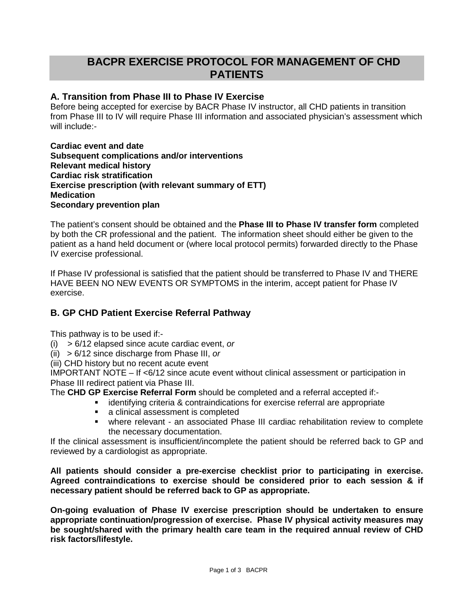# **BACPR EXERCISE PROTOCOL FOR MANAGEMENT OF CHD PATIENTS**

#### **A. Transition from Phase III to Phase IV Exercise**

Before being accepted for exercise by BACR Phase IV instructor, all CHD patients in transition from Phase III to IV will require Phase III information and associated physician's assessment which will include:-

**Cardiac event and date Subsequent complications and/or interventions Relevant medical history Cardiac risk stratification Exercise prescription (with relevant summary of ETT) Medication Secondary prevention plan**

The patient's consent should be obtained and the **Phase III to Phase IV transfer form** completed by both the CR professional and the patient. The information sheet should either be given to the patient as a hand held document or (where local protocol permits) forwarded directly to the Phase IV exercise professional.

If Phase IV professional is satisfied that the patient should be transferred to Phase IV and THERE HAVE BEEN NO NEW EVENTS OR SYMPTOMS in the interim, accept patient for Phase IV exercise.

### **B. GP CHD Patient Exercise Referral Pathway**

This pathway is to be used if:-

- (i) > 6/12 elapsed since acute cardiac event, *or*
- (ii) > 6/12 since discharge from Phase III, *or*
- (iii) CHD history but no recent acute event

IMPORTANT NOTE  $-$  If  $$6/12$  since acute event without clinical assessment or participation in$ Phase III redirect patient via Phase III.

The **CHD GP Exercise Referral Form** should be completed and a referral accepted if:-

- identifying criteria & contraindications for exercise referral are appropriate
	- **a** clinical assessment is completed
	- where relevant an associated Phase III cardiac rehabilitation review to complete the necessary documentation.

If the clinical assessment is insufficient/incomplete the patient should be referred back to GP and reviewed by a cardiologist as appropriate.

**All patients should consider a pre-exercise checklist prior to participating in exercise. Agreed contraindications to exercise should be considered prior to each session & if necessary patient should be referred back to GP as appropriate.**

**On-going evaluation of Phase IV exercise prescription should be undertaken to ensure appropriate continuation/progression of exercise. Phase IV physical activity measures may be sought/shared with the primary health care team in the required annual review of CHD risk factors/lifestyle.**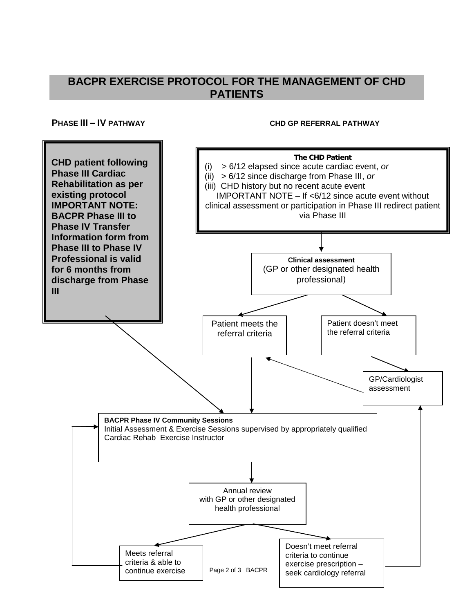## **BACPR EXERCISE PROTOCOL FOR THE MANAGEMENT OF CHD PATIENTS**

#### **PHASE III – IV PATHWAY CHD GP REFERRAL PATHWAY**